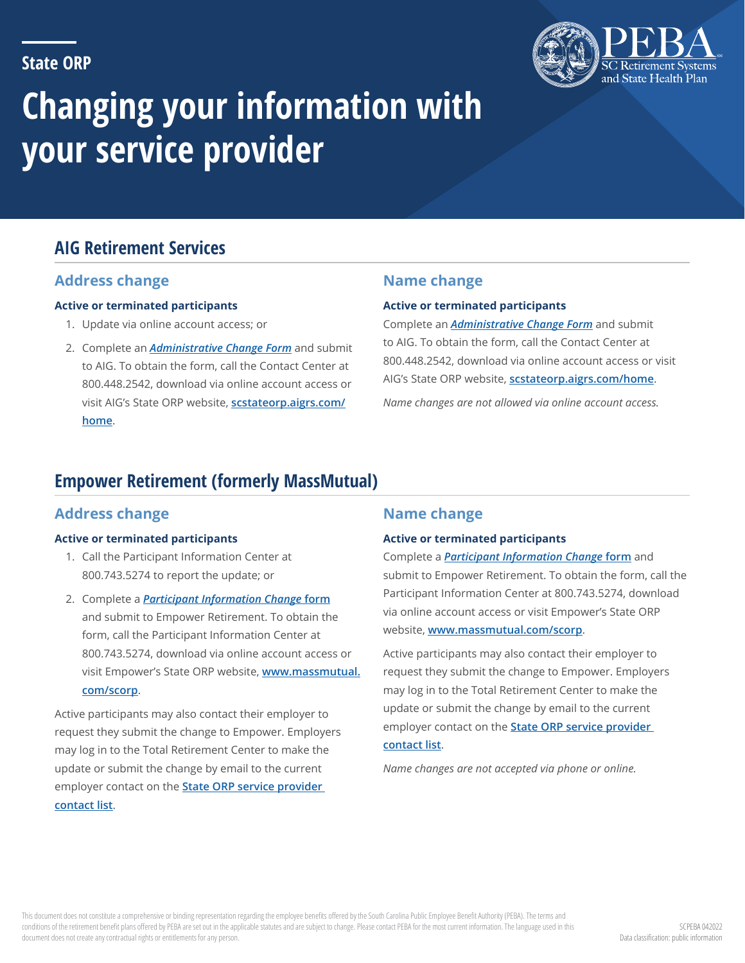## **State ORP**



# **Changing your information with your service provider**

# **AIG Retirement Services**

## **Address change**

#### **Active or terminated participants**

- 1. Update via online account access; or
- 2. Complete an *[Administrative Change Form](https://my.valic.com/DocumentServices/retrieveDocument.aspx?appid=440&fid=79356)* and submit to AIG. To obtain the form, call the Contact Center at 800.448.2542, download via online account access or visit AIG's State ORP website, **[scstateorp.aigrs.com/](https://scstateorp.aigrs.com/home) [home](https://scstateorp.aigrs.com/home)**.

## **Name change**

#### **Active or terminated participants**

Complete an *[Administrative Change Form](https://my.valic.com/DocumentServices/retrieveDocument.aspx?appid=440&fid=79356)* and submit to AIG. To obtain the form, call the Contact Center at 800.448.2542, download via online account access or visit AIG's State ORP website, **[scstateorp.aigrs.com/home](https://scstateorp.aigrs.com/home)**.

*Name changes are not allowed via online account access.*

# **Empower Retirement (formerly MassMutual)**

## **Address change**

#### **Active or terminated participants**

- 1. Call the Participant Information Center at 800.743.5274 to report the update; or
- 2. Complete a *[Participant Information Change](https://retire.massmutual.com/retire/custom/scorp/scorp_ppt_info_chg_form.pdf)* **form** and submit to Empower Retirement. To obtain the form, call the Participant Information Center at 800.743.5274, download via online account access or visit Empower's State ORP website, **[www.massmutual.](http://www.massmutual.com/scorp) [com/scorp](http://www.massmutual.com/scorp)**.

Active participants may also contact their employer to request they submit the change to Empower. Employers may log in to the Total Retirement Center to make the update or submit the change by email to the current employer contact on the **[State ORP service provider](https://www.peba.sc.gov/sites/default/files/sorp_vendor_contacts.pdf)  [contact list](https://www.peba.sc.gov/sites/default/files/sorp_vendor_contacts.pdf)**.

## **Name change**

#### **Active or terminated participants**

Complete a *[Participant Information Change](https://retire.massmutual.com/retire/custom/scorp/scorp_ppt_info_chg_form.pdf)* **form** and submit to Empower Retirement. To obtain the form, call the Participant Information Center at 800.743.5274, download via online account access or visit Empower's State ORP website, **[www.massmutual.com/scorp](http://www.massmutual.com/scorp)**.

Active participants may also contact their employer to request they submit the change to Empower. Employers may log in to the Total Retirement Center to make the update or submit the change by email to the current employer contact on the **[State ORP service provider](https://www.peba.sc.gov/sites/default/files/sorp_vendor_contacts.pdf)  [contact list](https://www.peba.sc.gov/sites/default/files/sorp_vendor_contacts.pdf)**.

*Name changes are not accepted via phone or online.*